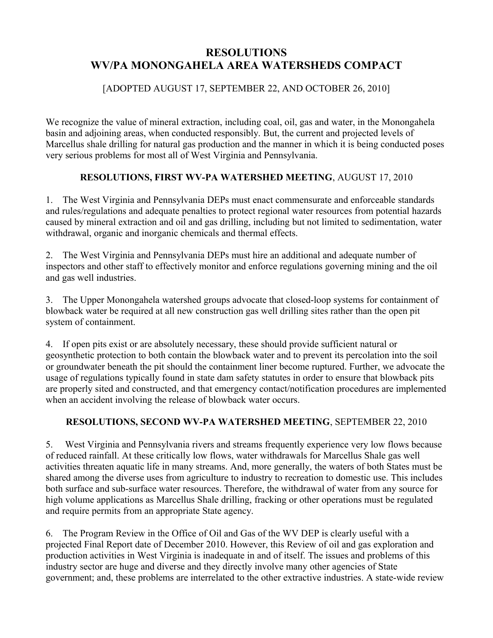# **RESOLUTIONS WV/PA MONONGAHELA AREA WATERSHEDS COMPACT**

## [ADOPTED AUGUST 17, SEPTEMBER 22, AND OCTOBER 26, 2010]

We recognize the value of mineral extraction, including coal, oil, gas and water, in the Monongahela basin and adjoining areas, when conducted responsibly. But, the current and projected levels of Marcellus shale drilling for natural gas production and the manner in which it is being conducted poses very serious problems for most all of West Virginia and Pennsylvania.

## **RESOLUTIONS, FIRST WV-PA WATERSHED MEETING**, AUGUST 17, 2010

1. The West Virginia and Pennsylvania DEPs must enact commensurate and enforceable standards and rules/regulations and adequate penalties to protect regional water resources from potential hazards caused by mineral extraction and oil and gas drilling, including but not limited to sedimentation, water withdrawal, organic and inorganic chemicals and thermal effects.

2. The West Virginia and Pennsylvania DEPs must hire an additional and adequate number of inspectors and other staff to effectively monitor and enforce regulations governing mining and the oil and gas well industries.

3. The Upper Monongahela watershed groups advocate that closed-loop systems for containment of blowback water be required at all new construction gas well drilling sites rather than the open pit system of containment.

4. If open pits exist or are absolutely necessary, these should provide sufficient natural or geosynthetic protection to both contain the blowback water and to prevent its percolation into the soil or groundwater beneath the pit should the containment liner become ruptured. Further, we advocate the usage of regulations typically found in state dam safety statutes in order to ensure that blowback pits are properly sited and constructed, and that emergency contact/notification procedures are implemented when an accident involving the release of blowback water occurs.

## **RESOLUTIONS, SECOND WV-PA WATERSHED MEETING**, SEPTEMBER 22, 2010

5. West Virginia and Pennsylvania rivers and streams frequently experience very low flows because of reduced rainfall. At these critically low flows, water withdrawals for Marcellus Shale gas well activities threaten aquatic life in many streams. And, more generally, the waters of both States must be shared among the diverse uses from agriculture to industry to recreation to domestic use. This includes both surface and sub-surface water resources. Therefore, the withdrawal of water from any source for high volume applications as Marcellus Shale drilling, fracking or other operations must be regulated and require permits from an appropriate State agency.

6. The Program Review in the Office of Oil and Gas of the WV DEP is clearly useful with a projected Final Report date of December 2010. However, this Review of oil and gas exploration and production activities in West Virginia is inadequate in and of itself. The issues and problems of this industry sector are huge and diverse and they directly involve many other agencies of State government; and, these problems are interrelated to the other extractive industries. A state-wide review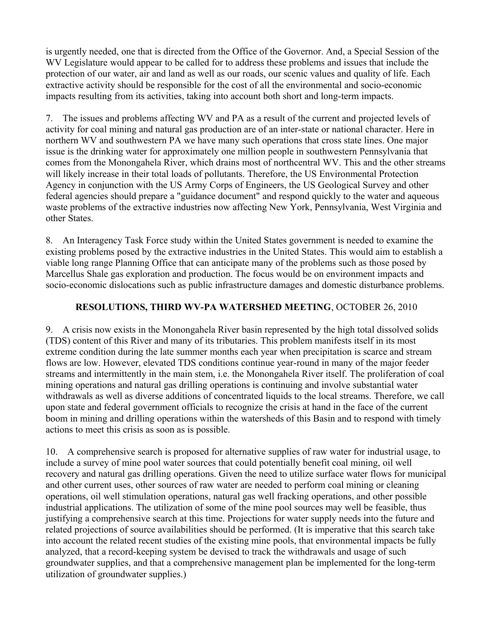is urgently needed, one that is directed from the Office of the Governor. And, a Special Session of the WV Legislature would appear to be called for to address these problems and issues that include the protection of our water, air and land as well as our roads, our scenic values and quality of life. Each extractive activity should be responsible for the cost of all the environmental and socio-economic impacts resulting from its activities, taking into account both short and long-term impacts.

7. The issues and problems affecting WV and PA as a result of the current and projected levels of activity for coal mining and natural gas production are of an inter-state or national character. Here in northern WV and southwestern PA we have many such operations that cross state lines. One major issue is the drinking water for approximately one million people in southwestern Pennsylvania that comes from the Monongahela River, which drains most of northcentral WV. This and the other streams will likely increase in their total loads of pollutants. Therefore, the US Environmental Protection Agency in conjunction with the US Army Corps of Engineers, the US Geological Survey and other federal agencies should prepare a "guidance document" and respond quickly to the water and aqueous waste problems of the extractive industries now affecting New York, Pennsylvania, West Virginia and other States.

8. An Interagency Task Force study within the United States government is needed to examine the existing problems posed by the extractive industries in the United States. This would aim to establish a viable long range Planning Office that can anticipate many of the problems such as those posed by Marcellus Shale gas exploration and production. The focus would be on environment impacts and socio-economic dislocations such as public infrastructure damages and domestic disturbance problems.

#### **RESOLUTIONS, THIRD WV-PA WATERSHED MEETING**, OCTOBER 26, 2010

9. A crisis now exists in the Monongahela River basin represented by the high total dissolved solids (TDS) content of this River and many of its tributaries. This problem manifests itself in its most extreme condition during the late summer months each year when precipitation is scarce and stream flows are low. However, elevated TDS conditions continue year-round in many of the major feeder streams and intermittently in the main stem, i.e. the Monongahela River itself. The proliferation of coal mining operations and natural gas drilling operations is continuing and involve substantial water withdrawals as well as diverse additions of concentrated liquids to the local streams. Therefore, we call upon state and federal government officials to recognize the crisis at hand in the face of the current boom in mining and drilling operations within the watersheds of this Basin and to respond with timely actions to meet this crisis as soon as is possible.

10. A comprehensive search is proposed for alternative supplies of raw water for industrial usage, to include a survey of mine pool water sources that could potentially benefit coal mining, oil well recovery and natural gas drilling operations. Given the need to utilize surface water flows for municipal and other current uses, other sources of raw water are needed to perform coal mining or cleaning operations, oil well stimulation operations, natural gas well fracking operations, and other possible industrial applications. The utilization of some of the mine pool sources may well be feasible, thus justifying a comprehensive search at this time. Projections for water supply needs into the future and related projections of source availabilities should be performed. (It is imperative that this search take into account the related recent studies of the existing mine pools, that environmental impacts be fully analyzed, that a record-keeping system be devised to track the withdrawals and usage of such groundwater supplies, and that a comprehensive management plan be implemented for the long-term utilization of groundwater supplies.)